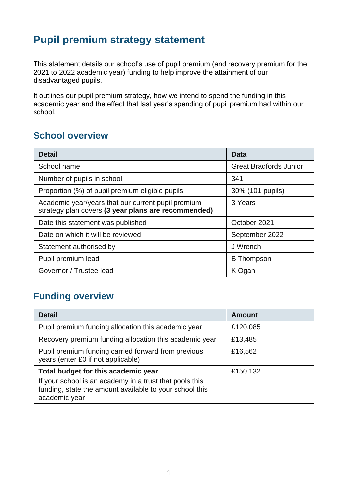## **Pupil premium strategy statement**

This statement details our school's use of pupil premium (and recovery premium for the 2021 to 2022 academic year) funding to help improve the attainment of our disadvantaged pupils.

It outlines our pupil premium strategy, how we intend to spend the funding in this academic year and the effect that last year's spending of pupil premium had within our school.

### **School overview**

| <b>Detail</b>                                                                                             | Data                          |
|-----------------------------------------------------------------------------------------------------------|-------------------------------|
| School name                                                                                               | <b>Great Bradfords Junior</b> |
| Number of pupils in school                                                                                | 341                           |
| Proportion (%) of pupil premium eligible pupils                                                           | 30% (101 pupils)              |
| Academic year/years that our current pupil premium<br>strategy plan covers (3 year plans are recommended) | 3 Years                       |
| Date this statement was published                                                                         | October 2021                  |
| Date on which it will be reviewed                                                                         | September 2022                |
| Statement authorised by                                                                                   | J Wrench                      |
| Pupil premium lead                                                                                        | <b>B</b> Thompson             |
| Governor / Trustee lead                                                                                   | K Ogan                        |

### **Funding overview**

| <b>Detail</b>                                                                                                                       | <b>Amount</b> |
|-------------------------------------------------------------------------------------------------------------------------------------|---------------|
| Pupil premium funding allocation this academic year                                                                                 | £120,085      |
| Recovery premium funding allocation this academic year                                                                              | £13,485       |
| Pupil premium funding carried forward from previous<br>years (enter £0 if not applicable)                                           | £16,562       |
| Total budget for this academic year                                                                                                 | £150,132      |
| If your school is an academy in a trust that pools this<br>funding, state the amount available to your school this<br>academic year |               |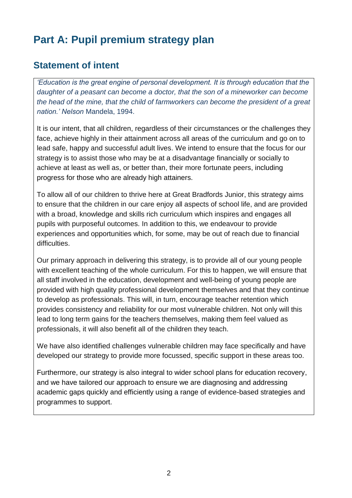## **Part A: Pupil premium strategy plan**

### **Statement of intent**

*'Education is the great engine of personal development. It is through education that the daughter of a peasant can become a doctor, that the son of a mineworker can become the head of the mine, that the child of farmworkers can become the president of a great nation.' Nelson* Mandela, 1994.

It is our intent, that all children, regardless of their circumstances or the challenges they face, achieve highly in their attainment across all areas of the curriculum and go on to lead safe, happy and successful adult lives. We intend to ensure that the focus for our strategy is to assist those who may be at a disadvantage financially or socially to achieve at least as well as, or better than, their more fortunate peers, including progress for those who are already high attainers.

To allow all of our children to thrive here at Great Bradfords Junior, this strategy aims to ensure that the children in our care enjoy all aspects of school life, and are provided with a broad, knowledge and skills rich curriculum which inspires and engages all pupils with purposeful outcomes. In addition to this, we endeavour to provide experiences and opportunities which, for some, may be out of reach due to financial difficulties.

Our primary approach in delivering this strategy, is to provide all of our young people with excellent teaching of the whole curriculum. For this to happen, we will ensure that all staff involved in the education, development and well-being of young people are provided with high quality professional development themselves and that they continue to develop as professionals. This will, in turn, encourage teacher retention which provides consistency and reliability for our most vulnerable children. Not only will this lead to long term gains for the teachers themselves, making them feel valued as professionals, it will also benefit all of the children they teach.

We have also identified challenges vulnerable children may face specifically and have developed our strategy to provide more focussed, specific support in these areas too.

Furthermore, our strategy is also integral to wider school plans for education recovery, and we have tailored our approach to ensure we are diagnosing and addressing academic gaps quickly and efficiently using a range of evidence-based strategies and programmes to support.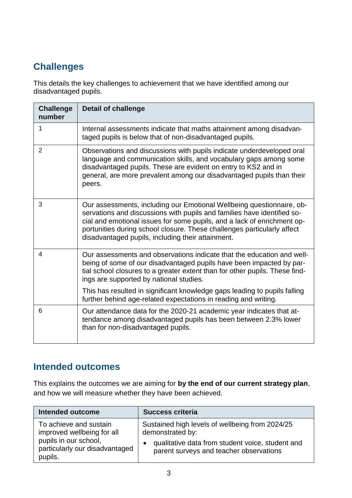## **Challenges**

This details the key challenges to achievement that we have identified among our disadvantaged pupils.

| <b>Challenge</b><br>number | <b>Detail of challenge</b>                                                                                                                                                                                                                                                                                                                                  |
|----------------------------|-------------------------------------------------------------------------------------------------------------------------------------------------------------------------------------------------------------------------------------------------------------------------------------------------------------------------------------------------------------|
| 1                          | Internal assessments indicate that maths attainment among disadvan-<br>taged pupils is below that of non-disadvantaged pupils.                                                                                                                                                                                                                              |
| $\overline{2}$             | Observations and discussions with pupils indicate underdeveloped oral<br>language and communication skills, and vocabulary gaps among some<br>disadvantaged pupils. These are evident on entry to KS2 and in<br>general, are more prevalent among our disadvantaged pupils than their<br>peers.                                                             |
| 3                          | Our assessments, including our Emotional Wellbeing questionnaire, ob-<br>servations and discussions with pupils and families have identified so-<br>cial and emotional issues for some pupils, and a lack of enrichment op-<br>portunities during school closure. These challenges particularly affect<br>disadvantaged pupils, including their attainment. |
| 4                          | Our assessments and observations indicate that the education and well-<br>being of some of our disadvantaged pupils have been impacted by par-<br>tial school closures to a greater extent than for other pupils. These find-<br>ings are supported by national studies.                                                                                    |
|                            | This has resulted in significant knowledge gaps leading to pupils falling<br>further behind age-related expectations in reading and writing.                                                                                                                                                                                                                |
| 6                          | Our attendance data for the 2020-21 academic year indicates that at-<br>tendance among disadvantaged pupils has been between 2.3% lower<br>than for non-disadvantaged pupils.                                                                                                                                                                               |

## **Intended outcomes**

This explains the outcomes we are aiming for **by the end of our current strategy plan**, and how we will measure whether they have been achieved.

| <b>Intended outcome</b>        | <b>Success criteria</b>                          |
|--------------------------------|--------------------------------------------------|
| To achieve and sustain         | Sustained high levels of wellbeing from 2024/25  |
| improved wellbeing for all     | demonstrated by:                                 |
| pupils in our school,          | qualitative data from student voice, student and |
| particularly our disadvantaged | $\bullet$                                        |
| pupils.                        | parent surveys and teacher observations          |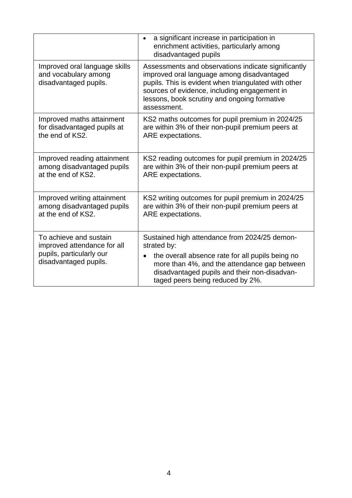|                                                                                                            | a significant increase in participation in<br>$\bullet$<br>enrichment activities, particularly among<br>disadvantaged pupils                                                                                                                                             |
|------------------------------------------------------------------------------------------------------------|--------------------------------------------------------------------------------------------------------------------------------------------------------------------------------------------------------------------------------------------------------------------------|
| Improved oral language skills<br>and vocabulary among<br>disadvantaged pupils.                             | Assessments and observations indicate significantly<br>improved oral language among disadvantaged<br>pupils. This is evident when triangulated with other<br>sources of evidence, including engagement in<br>lessons, book scrutiny and ongoing formative<br>assessment. |
| Improved maths attainment<br>for disadvantaged pupils at<br>the end of KS2.                                | KS2 maths outcomes for pupil premium in 2024/25<br>are within 3% of their non-pupil premium peers at<br>ARE expectations.                                                                                                                                                |
| Improved reading attainment<br>among disadvantaged pupils<br>at the end of KS2.                            | KS2 reading outcomes for pupil premium in 2024/25<br>are within 3% of their non-pupil premium peers at<br>ARE expectations.                                                                                                                                              |
| Improved writing attainment<br>among disadvantaged pupils<br>at the end of KS2.                            | KS2 writing outcomes for pupil premium in 2024/25<br>are within 3% of their non-pupil premium peers at<br>ARE expectations.                                                                                                                                              |
| To achieve and sustain<br>improved attendance for all<br>pupils, particularly our<br>disadvantaged pupils. | Sustained high attendance from 2024/25 demon-<br>strated by:<br>the overall absence rate for all pupils being no                                                                                                                                                         |
|                                                                                                            | more than 4%, and the attendance gap between<br>disadvantaged pupils and their non-disadvan-<br>taged peers being reduced by 2%.                                                                                                                                         |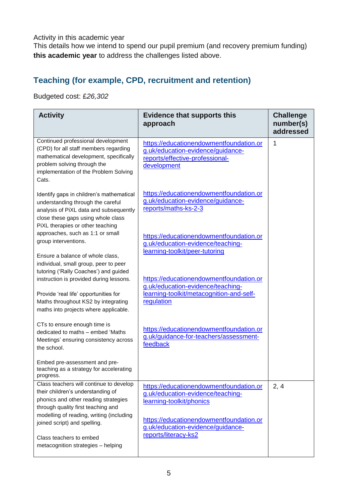Activity in this academic year

This details how we intend to spend our pupil premium (and recovery premium funding) **this academic year** to address the challenges listed above.

#### **Teaching (for example, CPD, recruitment and retention)**

Budgeted cost: £*26,302*

| <b>Activity</b>                                                                                                                                                                                                                                                                                         | <b>Evidence that supports this</b><br>approach                                                                                                                                                                   | <b>Challenge</b><br>number(s)<br>addressed |
|---------------------------------------------------------------------------------------------------------------------------------------------------------------------------------------------------------------------------------------------------------------------------------------------------------|------------------------------------------------------------------------------------------------------------------------------------------------------------------------------------------------------------------|--------------------------------------------|
| Continued professional development<br>(CPD) for all staff members regarding<br>mathematical development, specifically<br>problem solving through the<br>implementation of the Problem Solving<br>Cats.                                                                                                  | https://educationendowmentfoundation.or<br>g.uk/education-evidence/guidance-<br>reports/effective-professional-<br>development                                                                                   | 1                                          |
| Identify gaps in children's mathematical<br>understanding through the careful<br>analysis of PiXL data and subsequently<br>close these gaps using whole class<br>PiXL therapies or other teaching                                                                                                       | https://educationendowmentfoundation.or<br>g.uk/education-evidence/guidance-<br>reports/maths-ks-2-3                                                                                                             |                                            |
| approaches, such as 1:1 or small<br>group interventions.<br>Ensure a balance of whole class,<br>individual, small group, peer to peer                                                                                                                                                                   | https://educationendowmentfoundation.or<br>g.uk/education-evidence/teaching-<br>learning-toolkit/peer-tutoring                                                                                                   |                                            |
| tutoring ('Rally Coaches') and guided<br>instruction is provided during lessons.<br>Provide 'real life' opportunities for<br>Maths throughout KS2 by integrating<br>maths into projects where applicable.                                                                                               | https://educationendowmentfoundation.or<br>g.uk/education-evidence/teaching-<br>learning-toolkit/metacognition-and-self-<br>regulation                                                                           |                                            |
| CTs to ensure enough time is<br>dedicated to maths - embed 'Maths<br>Meetings' ensuring consistency across<br>the school.                                                                                                                                                                               | https://educationendowmentfoundation.or<br>g.uk/guidance-for-teachers/assessment-<br>feedback                                                                                                                    |                                            |
| Embed pre-assessment and pre-<br>teaching as a strategy for accelerating<br>progress.                                                                                                                                                                                                                   |                                                                                                                                                                                                                  |                                            |
| Class teachers will continue to develop<br>their children's understanding of<br>phonics and other reading strategies<br>through quality first teaching and<br>modelling of reading, writing (including<br>joined script) and spelling.<br>Class teachers to embed<br>metacognition strategies - helping | https://educationendowmentfoundation.or<br>g.uk/education-evidence/teaching-<br>learning-toolkit/phonics<br>https://educationendowmentfoundation.or<br>g.uk/education-evidence/guidance-<br>reports/literacy-ks2 | 2, 4                                       |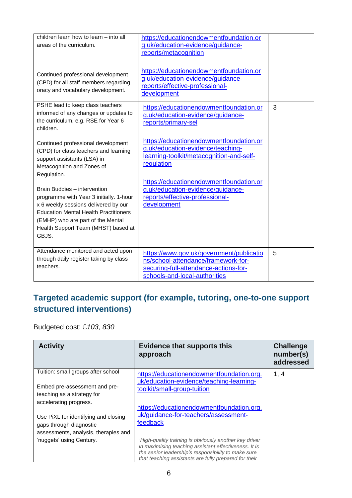| children learn how to learn – into all<br>areas of the curriculum.<br>Continued professional development<br>(CPD) for all staff members regarding<br>oracy and vocabulary development.                                                               | https://educationendowmentfoundation.or<br>g.uk/education-evidence/guidance-<br>reports/metacognition<br>https://educationendowmentfoundation.or<br>g.uk/education-evidence/guidance-<br>reports/effective-professional-<br>development |   |
|------------------------------------------------------------------------------------------------------------------------------------------------------------------------------------------------------------------------------------------------------|-----------------------------------------------------------------------------------------------------------------------------------------------------------------------------------------------------------------------------------------|---|
| PSHE lead to keep class teachers<br>informed of any changes or updates to<br>the curriculum, e.g. RSE for Year 6<br>children.<br>Continued professional development                                                                                  | https://educationendowmentfoundation.or<br>g.uk/education-evidence/guidance-<br>reports/primary-sel<br>https://educationendowmentfoundation.or                                                                                          | 3 |
| (CPD) for class teachers and learning<br>support assistants (LSA) in<br>Metacognition and Zones of<br>Regulation.                                                                                                                                    | g.uk/education-evidence/teaching-<br>learning-toolkit/metacognition-and-self-<br>regulation<br>https://educationendowmentfoundation.or                                                                                                  |   |
| Brain Buddies - intervention<br>programme with Year 3 initially. 1-hour<br>x 6 weekly sessions delivered by our<br><b>Education Mental Health Practitioners</b><br>(EMHP) who are part of the Mental<br>Health Support Team (MHST) based at<br>GBJS. | g.uk/education-evidence/guidance-<br>reports/effective-professional-<br>development                                                                                                                                                     |   |
| Attendance monitored and acted upon<br>through daily register taking by class<br>teachers.                                                                                                                                                           | https://www.gov.uk/government/publicatio<br>ns/school-attendance/framework-for-<br>securing-full-attendance-actions-for-<br>schools-and-local-authorities                                                                               | 5 |

## **Targeted academic support (for example, tutoring, one-to-one support structured interventions)**

Budgeted cost: £*103, 830*

| <b>Activity</b>                                                                                                                     | <b>Evidence that supports this</b><br>approach                                                                                                                                                                                                                                      | <b>Challenge</b><br>number(s)<br>addressed |
|-------------------------------------------------------------------------------------------------------------------------------------|-------------------------------------------------------------------------------------------------------------------------------------------------------------------------------------------------------------------------------------------------------------------------------------|--------------------------------------------|
| Tuition: small groups after school<br>Embed pre-assessment and pre-<br>teaching as a strategy for<br>accelerating progress.         | https://educationendowmentfoundation.org.<br>uk/education-evidence/teaching-learning-<br>toolkit/small-group-tuition<br>https://educationendowmentfoundation.org.                                                                                                                   | 1, 4                                       |
| Use PiXL for identifying and closing<br>gaps through diagnostic<br>assessments, analysis, therapies and<br>'nuggets' using Century. | uk/guidance-for-teachers/assessment-<br>feedback<br>'High-quality training is obviously another key driver<br>in maximising teaching assistant effectiveness. It is<br>the senior leadership's responsibility to make sure<br>that teaching assistants are fully prepared for their |                                            |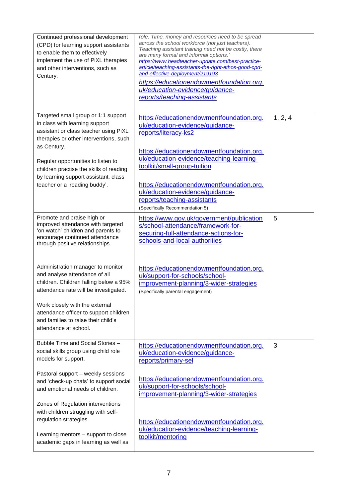| Continued professional development<br>(CPD) for learning support assistants<br>to enable them to effectively<br>implement the use of PiXL therapies<br>and other interventions, such as<br>Century.                                                                                                                                                                                                                                                                             | role. Time, money and resources need to be spread<br>across the school workforce (not just teachers).<br>Teaching assistant training need not be costly, there<br>are many formal and informal options.'<br>https://www.headteacher-update.com/best-practice-<br>article/teaching-assistants-the-right-ethos-good-cpd-<br>and-effective-deployment/219193<br>https://educationendowmentfoundation.org.<br>uk/education-evidence/guidance-<br>reports/teaching-assistants |         |
|---------------------------------------------------------------------------------------------------------------------------------------------------------------------------------------------------------------------------------------------------------------------------------------------------------------------------------------------------------------------------------------------------------------------------------------------------------------------------------|--------------------------------------------------------------------------------------------------------------------------------------------------------------------------------------------------------------------------------------------------------------------------------------------------------------------------------------------------------------------------------------------------------------------------------------------------------------------------|---------|
| Targeted small group or 1:1 support<br>in class with learning support<br>assistant or class teacher using PiXL<br>therapies or other interventions, such<br>as Century.<br>Regular opportunities to listen to<br>children practise the skills of reading<br>by learning support assistant, class<br>teacher or a 'reading buddy'.                                                                                                                                               | https://educationendowmentfoundation.org.<br>uk/education-evidence/guidance-<br>reports/literacy-ks2<br>https://educationendowmentfoundation.org.<br>uk/education-evidence/teaching-learning-<br>toolkit/small-group-tuition<br>https://educationendowmentfoundation.org.<br>uk/education-evidence/guidance-<br>reports/teaching-assistants<br>(Specifically Recommendation 5)                                                                                           | 1, 2, 4 |
| Promote and praise high or<br>improved attendance with targeted<br>'on watch' children and parents to<br>encourage continued attendance<br>through positive relationships.<br>Administration manager to monitor<br>and analyse attendance of all<br>children. Children falling below a 95%<br>attendance rate will be investigated.<br>Work closely with the external<br>attendance officer to support children<br>and families to raise their child's<br>attendance at school. | https://www.gov.uk/government/publication<br>s/school-attendance/framework-for-<br>securing-full-attendance-actions-for-<br>schools-and-local-authorities<br>https://educationendowmentfoundation.org.<br>uk/support-for-schools/school-<br>improvement-planning/3-wider-strategies<br>(Specifically parental engagement)                                                                                                                                                | 5       |
| Bubble Time and Social Stories -<br>social skills group using child role<br>models for support.<br>Pastoral support - weekly sessions<br>and 'check-up chats' to support social<br>and emotional needs of children.<br>Zones of Regulation interventions<br>with children struggling with self-<br>regulation strategies.<br>Learning mentors - support to close<br>academic gaps in learning as well as                                                                        | https://educationendowmentfoundation.org.<br>uk/education-evidence/guidance-<br>reports/primary-sel<br>https://educationendowmentfoundation.org.<br>uk/support-for-schools/school-<br>improvement-planning/3-wider-strategies<br>https://educationendowmentfoundation.org.<br>uk/education-evidence/teaching-learning-<br>toolkit/mentoring                                                                                                                              | 3       |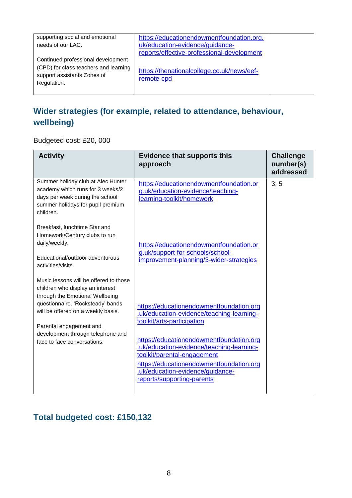| supporting social and emotional<br>needs of our LAC.                                                                      | https://educationendowmentfoundation.org.<br>uk/education-evidence/guidance- |  |
|---------------------------------------------------------------------------------------------------------------------------|------------------------------------------------------------------------------|--|
|                                                                                                                           | reports/effective-professional-development                                   |  |
| Continued professional development<br>(CPD) for class teachers and learning<br>support assistants Zones of<br>Regulation. | https://thenationalcollege.co.uk/news/eef-<br>remote-cpd                     |  |

## **Wider strategies (for example, related to attendance, behaviour, wellbeing)**

Budgeted cost: £20, 000

| <b>Activity</b>                                                                                                                                                                                                                                                                         | <b>Evidence that supports this</b><br>approach                                                                                                                                                                                                                                                                                                            | <b>Challenge</b><br>number(s)<br>addressed |
|-----------------------------------------------------------------------------------------------------------------------------------------------------------------------------------------------------------------------------------------------------------------------------------------|-----------------------------------------------------------------------------------------------------------------------------------------------------------------------------------------------------------------------------------------------------------------------------------------------------------------------------------------------------------|--------------------------------------------|
| Summer holiday club at Alec Hunter<br>academy which runs for 3 weeks/2<br>days per week during the school<br>summer holidays for pupil premium<br>children.                                                                                                                             | https://educationendowmentfoundation.or<br>g.uk/education-evidence/teaching-<br>learning-toolkit/homework                                                                                                                                                                                                                                                 | 3, 5                                       |
| Breakfast, lunchtime Star and<br>Homework/Century clubs to run<br>daily/weekly.<br>Educational/outdoor adventurous<br>activities/visits.                                                                                                                                                | https://educationendowmentfoundation.or<br>g.uk/support-for-schools/school-<br>improvement-planning/3-wider-strategies                                                                                                                                                                                                                                    |                                            |
| Music lessons will be offered to those<br>children who display an interest<br>through the Emotional Wellbeing<br>questionnaire. 'Rocksteady' bands<br>will be offered on a weekly basis.<br>Parental engagement and<br>development through telephone and<br>face to face conversations. | https://educationendowmentfoundation.org<br>.uk/education-evidence/teaching-learning-<br>toolkit/arts-participation<br>https://educationendowmentfoundation.org<br>.uk/education-evidence/teaching-learning-<br>toolkit/parental-engagement<br>https://educationendowmentfoundation.org<br>.uk/education-evidence/guidance-<br>reports/supporting-parents |                                            |

#### **Total budgeted cost: £150,132**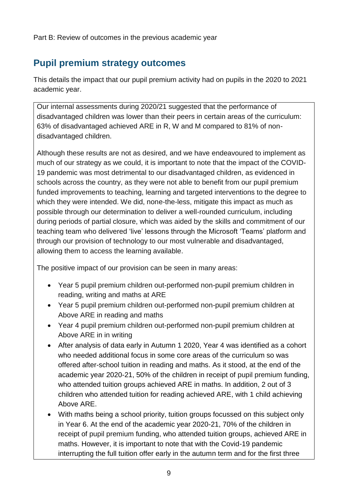Part B: Review of outcomes in the previous academic year

## **Pupil premium strategy outcomes**

This details the impact that our pupil premium activity had on pupils in the 2020 to 2021 academic year.

Our internal assessments during 2020/21 suggested that the performance of disadvantaged children was lower than their peers in certain areas of the curriculum: 63% of disadvantaged achieved ARE in R, W and M compared to 81% of nondisadvantaged children.

Although these results are not as desired, and we have endeavoured to implement as much of our strategy as we could, it is important to note that the impact of the COVID-19 pandemic was most detrimental to our disadvantaged children, as evidenced in schools across the country, as they were not able to benefit from our pupil premium funded improvements to teaching, learning and targeted interventions to the degree to which they were intended. We did, none-the-less, mitigate this impact as much as possible through our determination to deliver a well-rounded curriculum, including during periods of partial closure, which was aided by the skills and commitment of our teaching team who delivered 'live' lessons through the Microsoft 'Teams' platform and through our provision of technology to our most vulnerable and disadvantaged, allowing them to access the learning available.

The positive impact of our provision can be seen in many areas:

- Year 5 pupil premium children out-performed non-pupil premium children in reading, writing and maths at ARE
- Year 5 pupil premium children out-performed non-pupil premium children at Above ARE in reading and maths
- Year 4 pupil premium children out-performed non-pupil premium children at Above ARE in in writing
- After analysis of data early in Autumn 1 2020, Year 4 was identified as a cohort who needed additional focus in some core areas of the curriculum so was offered after-school tuition in reading and maths. As it stood, at the end of the academic year 2020-21, 50% of the children in receipt of pupil premium funding, who attended tuition groups achieved ARE in maths. In addition, 2 out of 3 children who attended tuition for reading achieved ARE, with 1 child achieving Above ARE.
- With maths being a school priority, tuition groups focussed on this subject only in Year 6. At the end of the academic year 2020-21, 70% of the children in receipt of pupil premium funding, who attended tuition groups, achieved ARE in maths. However, it is important to note that with the Covid-19 pandemic interrupting the full tuition offer early in the autumn term and for the first three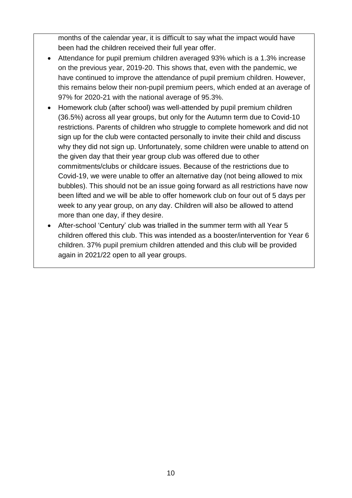months of the calendar year, it is difficult to say what the impact would have been had the children received their full year offer.

- Attendance for pupil premium children averaged 93% which is a 1.3% increase on the previous year, 2019-20. This shows that, even with the pandemic, we have continued to improve the attendance of pupil premium children. However, this remains below their non-pupil premium peers, which ended at an average of 97% for 2020-21 with the national average of 95.3%.
- Homework club (after school) was well-attended by pupil premium children (36.5%) across all year groups, but only for the Autumn term due to Covid-10 restrictions. Parents of children who struggle to complete homework and did not sign up for the club were contacted personally to invite their child and discuss why they did not sign up. Unfortunately, some children were unable to attend on the given day that their year group club was offered due to other commitments/clubs or childcare issues. Because of the restrictions due to Covid-19, we were unable to offer an alternative day (not being allowed to mix bubbles). This should not be an issue going forward as all restrictions have now been lifted and we will be able to offer homework club on four out of 5 days per week to any year group, on any day. Children will also be allowed to attend more than one day, if they desire.
- After-school 'Century' club was trialled in the summer term with all Year 5 children offered this club. This was intended as a booster/intervention for Year 6 children. 37% pupil premium children attended and this club will be provided again in 2021/22 open to all year groups.